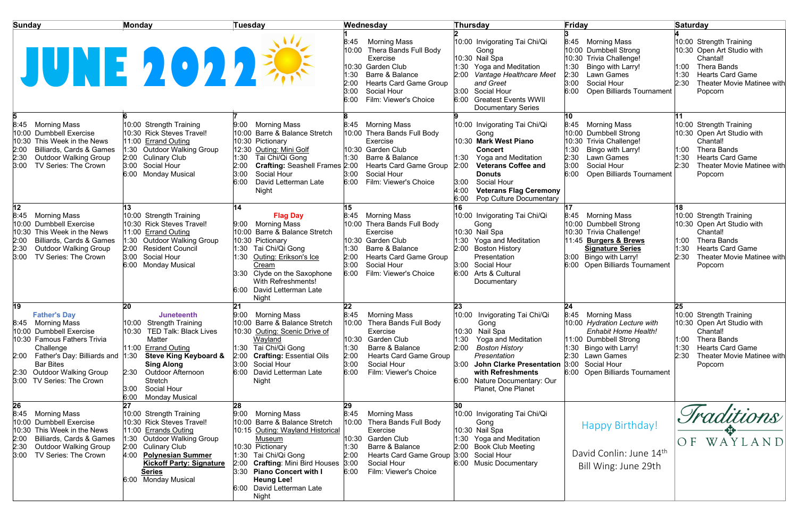| <b>Sunday</b>                                                                                                                                                                                                                                 | <b>Monday</b>                                                                                                                                                                                                                                                                                       | <b>Tuesday</b>                                                                                                                                                                                                                                                                        | Wednesday                                                                                                                                                                                                                  | Thursday                                                                                                                                                                                                                                                                 | Friday                                                                                                                                                                                                      | <b>Saturday</b>                                                                                                                                                                                  |
|-----------------------------------------------------------------------------------------------------------------------------------------------------------------------------------------------------------------------------------------------|-----------------------------------------------------------------------------------------------------------------------------------------------------------------------------------------------------------------------------------------------------------------------------------------------------|---------------------------------------------------------------------------------------------------------------------------------------------------------------------------------------------------------------------------------------------------------------------------------------|----------------------------------------------------------------------------------------------------------------------------------------------------------------------------------------------------------------------------|--------------------------------------------------------------------------------------------------------------------------------------------------------------------------------------------------------------------------------------------------------------------------|-------------------------------------------------------------------------------------------------------------------------------------------------------------------------------------------------------------|--------------------------------------------------------------------------------------------------------------------------------------------------------------------------------------------------|
| JUNE 2022                                                                                                                                                                                                                                     |                                                                                                                                                                                                                                                                                                     |                                                                                                                                                                                                                                                                                       | <b>Morning Mass</b><br>8:45<br>10:00<br>Thera Bands Full Body<br>Exercise<br>10:30 Garden Club<br>1:30<br>Barre & Balance<br>2:00<br><b>Hearts Card Game Group</b><br>3:00<br>Social Hour<br>Film: Viewer's Choice<br>6:00 | 10:00 Invigorating Tai Chi/Qi<br>Gong<br>10:30 Nail Spa<br>1:30<br><b>Yoga and Meditation</b><br>Vantage Healthcare Meet<br>and Greet<br>Social Hour<br>3:00<br><b>Greatest Events WWII</b><br>6:00<br><b>Documentary Series</b>                                         | 8:45 Morning Mass<br>10:00 Dumbbell Strong<br>10:30 Trivia Challenge!<br>Bingo with Larry!<br>1:30<br>2:30<br><b>Lawn Games</b><br>3:00<br>Social Hour<br><b>Open Billiards Tournament</b><br>6:00          | 10:00 Strength Training<br>10:30 Open Art Studio with<br>Chantal!<br>1:00<br><b>Thera Bands</b><br><b>Hearts Card Game</b><br>1:30<br>2:30<br>Theater Movie Matinee with<br>Popcorn              |
| 8:45 Morning Mass<br>10:00 Dumbbell Exercise<br>10:30 This Week in the News<br>Billiards, Cards & Games<br>2:30<br><b>Outdoor Walking Group</b><br>3:00<br>TV Series: The Crown                                                               | 10:00 Strength Training<br>10:30 Rick Steves Travel!<br>11:00 Errand Outing<br>1:30 Outdoor Walking Group<br>2:00 Culinary Club<br>3:00<br>Social Hour<br>6:00<br>Monday Musical                                                                                                                    | 9:00 Morning Mass<br>10:00 Barre & Balance Stretch<br>10:30 Pictionary<br>12:30 Outing: Mini Golf<br>1:30<br>Tai Chi/Qi Gong<br><b>Crafting: Seashell Frames 2:00</b><br>2:00<br>Social Hour<br>3:00<br>David Letterman Late<br>6:00<br>Night                                         | 8:45 Morning Mass<br>10:00 Thera Bands Full Body<br>Exercise<br>10:30 Garden Club<br>Barre & Balance<br>1:30<br><b>Hearts Card Game Group</b><br>3:00<br>Social Hour<br>Film: Viewer's Choice<br>6:00                      | 10:00 Invigorating Tai Chi/Qi<br>Gong<br>10:30 Mark West Piano<br><b>Concert</b><br>Yoga and Meditation<br>2:00<br><b>Veterans Coffee and</b><br><b>Donuts</b><br>Social Hour<br>3:00<br>4:00<br><b>Veterans Flag Ceremony</b><br><b>Pop Culture Documentary</b><br>6:00 | 10<br>8:45 Morning Mass<br>10:00 Dumbbell Strong<br>10:30 Trivia Challenge!<br>Bingo with Larry!<br>1:30<br>2:30<br><b>Lawn Games</b><br>3:00<br>Social Hour<br>6:00<br><b>Open Billiards Tournament</b>    | 10:00 Strength Training<br>10:30 Open Art Studio with<br>Chantal!<br>1:00<br><b>Thera Bands</b><br>1:30<br><b>Hearts Card Game</b><br>2:30<br><b>Theater Movie Matinee with</b><br>Popcorn       |
| 12<br>8:45<br>Morning Mass<br>10:00 Dumbbell Exercise<br>10:30 This Week in the News<br><b>Billiards, Cards &amp; Games</b><br>2:30<br><b>Outdoor Walking Group</b><br>3:00<br>TV Series: The Crown                                           | 10:00 Strength Training<br>10:30 Rick Steves Travel!<br>11:00 Errand Outing<br>1:30 Outdoor Walking Group<br><b>Resident Council</b><br>2:00<br>3:00<br>Social Hour<br><b>Monday Musical</b><br>6:00                                                                                                | 14<br><b>Flag Day</b><br><b>Morning Mass</b><br>9:00<br>10:00 Barre & Balance Stretch<br>10:30 Pictionary<br>1:30 Tai Chi/Qi Gong<br>Outing: Erikson's Ice<br>1:30<br>Cream<br>3:30 Clyde on the Saxophone<br><b>With Refreshments!</b><br>6:00 David Letterman Late<br>Night         | 15<br>8:45 Morning Mass<br>10:00 Thera Bands Full Body<br>Exercise<br>10:30 Garden Club<br>1:30<br>Barre & Balance<br>2:00<br><b>Hearts Card Game Group</b><br>3:00<br>Social Hour<br>6:00<br>Film: Viewer's Choice        | 10:00 Invigorating Tai Chi/Qi<br>Gong<br>10:30 Nail Spa<br>1:30 Yoga and Meditation<br>2:00<br><b>Boston History</b><br>Presentation<br>3:00 Social Hour<br>6:00<br>Arts & Cultural<br>Documentary                                                                       | 17<br>8:45 Morning Mass<br>10:00 Dumbbell Strong<br>10:30 Trivia Challenge!<br>11:45 Burgers & Brews<br><b>Signature Series</b><br>3:00 Bingo with Larry!<br>6:00 Open Billiards Tournament                 | 18<br>10:00 Strength Training<br>10:30 Open Art Studio with<br>Chantal!<br>1:00<br><b>Thera Bands</b><br>1:30<br><b>Hearts Card Game</b><br>2:30<br><b>Theater Movie Matinee with</b><br>Popcorn |
| 19<br><b>Father's Day</b><br>8:45 Morning Mass<br>10:00 Dumbbell Exercise<br>10:30 Famous Fathers Trivia<br>Challenge<br>2:00 Father's Day: Billiards and 1:30<br><b>Bar Bites</b><br>2:30 Outdoor Walking Group<br>3:00 TV Series: The Crown | 20<br><b>Juneteenth</b><br>10:00 Strength Training<br>10:30<br><b>TED Talk: Black Lives</b><br>Matter<br>11:00 Errand Outing<br><b>Steve King Keyboard &amp;</b><br><b>Sing Along</b><br><b>Outdoor Afternoon</b><br>2:30<br><b>Stretch</b><br>Social Hour<br>3:00<br>6:00<br><b>Monday Musical</b> | 21<br>9:00 Morning Mass<br>10:00 Barre & Balance Stretch<br>10:30 Outing: Scenic Drive of<br>Wayland<br>1:30 Tai Chi/Qi Gong<br><b>Crafting: Essential Oils</b><br>2:00<br>3:00<br>Social Hour<br>David Letterman Late<br>6:00<br>Night                                               | 22<br>8:45<br>Morning Mass<br>Thera Bands Full Body<br>10:00<br>Exercise<br>10:30 Garden Club<br>Barre & Balance<br>1:30<br>2:00<br><b>Hearts Card Game Group</b><br>3:00<br>Social Hour<br>6:00<br>Film: Viewer's Choice  | 23<br>10:00 Invigorating Tai Chi/Qi<br>Gong<br>10:30 Nail Spa<br>1:30<br>Yoga and Meditation<br>2:00<br><b>Boston History</b><br>Presentation<br><b>John Clarke Presentation</b><br>3:00<br>with Refreshments<br>Nature Documentary: Our<br>6:00<br>Planet, One Planet   | 24<br>8:45 Morning Mass<br>10:00 Hydration Lecture with<br>Enhabit Home Health!<br>11:00 Dumbbell Strong<br>1:30 Bingo with Larry!<br>2:30 Lawn Games<br>3:00 Social Hour<br>6:00 Open Billiards Tournament | 25<br>10:00 Strength Training<br>10:30 Open Art Studio with<br>Chantal!<br>1:00<br><b>Thera Bands</b><br>1:30<br><b>Hearts Card Game</b><br>2:30<br><b>Theater Movie Matinee with</b><br>Popcorn |
| 26<br>8:45<br>Morning Mass<br>10:00 Dumbbell Exercise<br>10:30 This Week in the News<br><b>Billiards, Cards &amp; Games</b><br>2:30<br><b>Outdoor Walking Group</b><br>TV Series: The Crown<br>3:00                                           | 10:00 Strength Training<br>10:30 Rick Steves Travel!<br>11:00 Errands Outing<br><b>Outdoor Walking Group</b><br>1:30<br>2:00<br><b>Culinary Club</b><br><b>Polynesian Summer</b><br>4:00<br><b>Kickoff Party: Signature</b><br><b>Series</b><br><b>Monday Musical</b><br>6:00                       | 28<br>9:00<br>Morning Mass<br>10:00 Barre & Balance Stretch<br>10:15 Outing: Wayland Historical<br>Museum<br>10:30 Pictionary<br>1:30 Tai Chi/Qi Gong<br>2:00 Crafting: Mini Bird Houses 3:00<br>3:30 Piano Concert with I<br><b>Heung Lee!</b><br>6:00 David Letterman Late<br>Night | 29<br>8:45<br>Morning Mass<br>10:00 Thera Bands Full Body<br>Exercise<br>10:30 Garden Club<br>Barre & Balance<br>1:30<br>2:00<br><b>Hearts Card Game Group</b><br>Social Hour<br>6:00<br>Film: Viewer's Choice             | 30<br>10:00 Invigorating Tai Chi/Qi<br>Gong<br>10:30 Nail Spa<br>1:30 Yoga and Meditation<br><b>Book Club Meeting</b><br>2:00<br>3:00<br>Social Hour<br>6:00 Music Documentary                                                                                           | Happy Birthday!<br>David Conlin: June 14th<br>Bill Wing: June 29th                                                                                                                                          | Iraditions<br>WAYLAND<br>O F                                                                                                                                                                     |